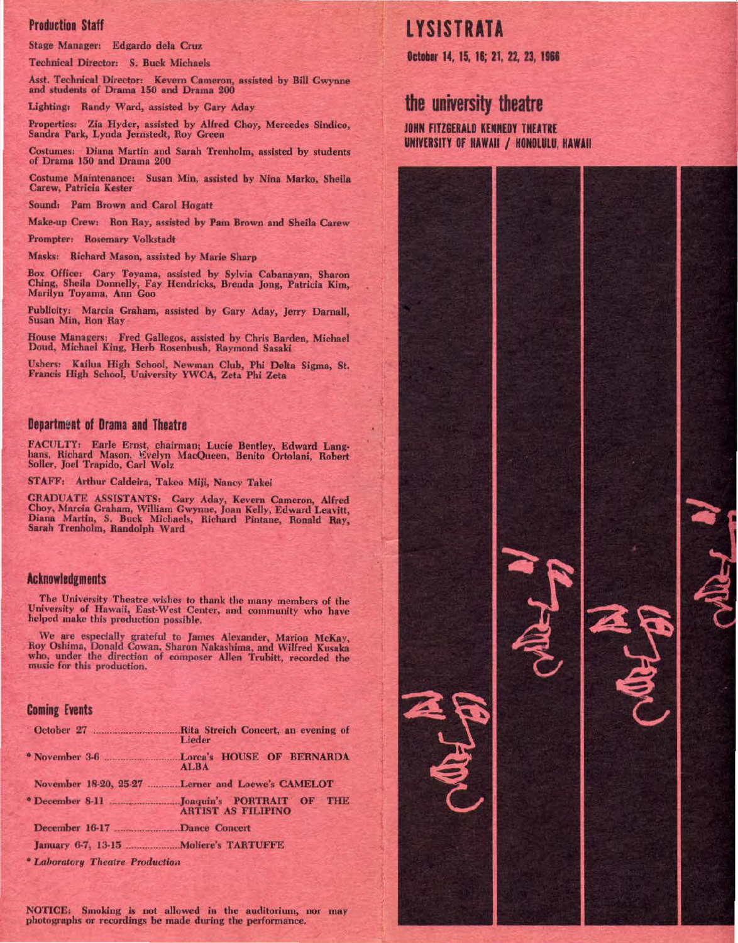#### Production Staff

Stage Manager: Edgardo dela Cruz

Technical Director: S. Buck Michaels

Asst. Technical Director: Kevern Cameron, assisted by Bill Gwynne<br>and students of Drama 150 and Drama 200

Lighting: Randy Ward, assisted by Gary Aday

Properties: Zia Hyder, assisted by Alfred Choy, Mercedes Sindlco, Sandra Park, Lynda Jemstedt, Roy Green

Costumes: Diana Martin and Sarah Trenholm, assisted by students of Drama 150 and Drama 200

Costume Maintenance: Susan Min, assisted by Nina Marko, Sheila Carew, Patricia Kester

Sound: Pam Brown and Carol Hogatt

Make·up Crew: Ron Ray, assisted by Pam Brown and Sheila Carew

Prompter: Rosemary Volkstadt

Masks: Richard Mason, assisted by Marie Sharp

Box Office: Gary Toyama, assisted by Sylvia Cabnnayan, Sharon Ching, Sheila Donnelly, Fay Hendricks, Brenda Jong, Patricia Kim, Marilyn Toyama, Ann Goo

Publicity: Marcin Graham, assisted by Gary Aday, Jerry Darnall, Susan Min, Ron Ray

House Managers: Fred Gallegos, assisted by Chris Barden, Michael Doud, Michael King, Herb Rosenbush, Raymond Sasaki

Ushers: Kailua High School, Newman Club, Phi Delta Sigma, St. Francis High School, University YWCA, Zeta Phi Zeta

### Department of Drama and Theatre

FACULTY: Earle Ernst, chairman; Lucie Bentley, Edward Lang-<br>hans, Richard Mason, Evelyn MacQueen, Benito Ortolani, Robert Soller, Joel Trapido, Carl Wolz

STAFF: Arthur Caldeira, Takeo Miji, Nancy Takei

GRADUATE ASSISTANTS: Gary Aday, Kevem Cameron, Alfred Choy, Marcia Graham, William Gwynne, Joan Kelly, Edward Leavitt, Diana Martin, S. Buck Michaels, Richard Pintane, Ronald Ray, Sarah Trenholm, Randolph Ward

### Acknowledgments

The University Theatre wishes to thank the many members of the University of Hawaii, East-West Center, and community who have helped make this production possible.

We are especially grateful to James Alexander, Marion McKay, Roy Oshima, Donald Cowan, Sharon Nakashima, and Wilfred Kusaka<br>who, under the direction of composer Allen Trubitt, recorded the music for this production.

#### Coming Events

| October 27<br>Rita Streich Concert, an evening of<br>Lieder            |
|------------------------------------------------------------------------|
| <b>ALBA</b>                                                            |
| November 18-20, 25-27 Lerner and Loewe's CAMELOT                       |
| • December 8-11 Joaquin's PORTRAIT OF THE<br><b>ARTIST AS FILIPINO</b> |
| December 16-17 Dance Concert                                           |
|                                                                        |
|                                                                        |

• *Lal1orntory Theatre Ptoductioa* 

NOTICE: Smoking is not allowed in the auditorium, nor may photographs or recordings be made during the performance.

# **LYSISTRATA**

October 14, 15, 16; 21, 22, 23, 1966

# **the university theatre**

JOHN FITZGERALD KENNEDY THEATRE UNIVERSITY OF HAWAII / HONOLULU, HAWAII